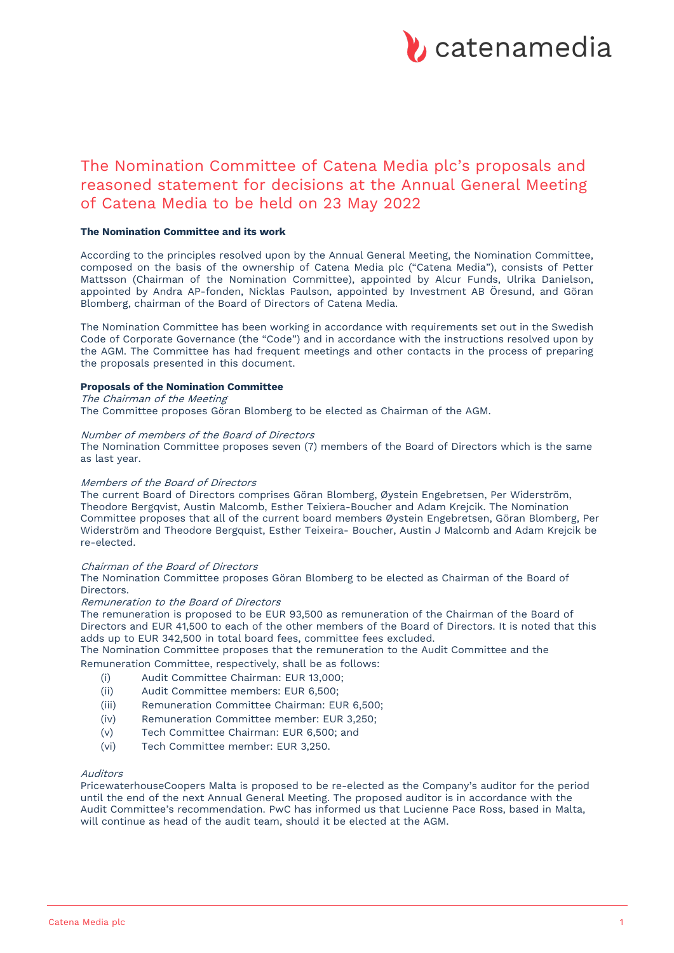

# The Nomination Committee of Catena Media plc's proposals and reasoned statement for decisions at the Annual General Meeting of Catena Media to be held on 23 May 2022

## **The Nomination Committee and its work**

According to the principles resolved upon by the Annual General Meeting, the Nomination Committee, composed on the basis of the ownership of Catena Media plc ("Catena Media"), consists of Petter Mattsson (Chairman of the Nomination Committee), appointed by Alcur Funds, Ulrika Danielson, appointed by Andra AP-fonden, Nicklas Paulson, appointed by Investment AB Öresund, and Göran Blomberg, chairman of the Board of Directors of Catena Media.

The Nomination Committee has been working in accordance with requirements set out in the Swedish Code of Corporate Governance (the "Code") and in accordance with the instructions resolved upon by the AGM. The Committee has had frequent meetings and other contacts in the process of preparing the proposals presented in this document.

## **Proposals of the Nomination Committee**

The Chairman of the Meeting

The Committee proposes Göran Blomberg to be elected as Chairman of the AGM.

## Number of members of the Board of Directors

The Nomination Committee proposes seven (7) members of the Board of Directors which is the same as last year.

## Members of the Board of Directors

The current Board of Directors comprises Göran Blomberg, Øystein Engebretsen, Per Widerström, Theodore Bergqvist, Austin Malcomb, Esther Teixiera-Boucher and Adam Krejcik. The Nomination Committee proposes that all of the current board members Øystein Engebretsen, Göran Blomberg, Per Widerström and Theodore Bergquist, Esther Teixeira- Boucher, Austin J Malcomb and Adam Krejcik be re-elected.

## Chairman of the Board of Directors

The Nomination Committee proposes Göran Blomberg to be elected as Chairman of the Board of Directors.

#### Remuneration to the Board of Directors

The remuneration is proposed to be EUR 93,500 as remuneration of the Chairman of the Board of Directors and EUR 41,500 to each of the other members of the Board of Directors. It is noted that this adds up to EUR 342,500 in total board fees, committee fees excluded.

The Nomination Committee proposes that the remuneration to the Audit Committee and the Remuneration Committee, respectively, shall be as follows:

- (i) Audit Committee Chairman: EUR 13,000;
- (ii) Audit Committee members: EUR 6,500;
- (iii) Remuneration Committee Chairman: EUR 6,500;
- (iv) Remuneration Committee member: EUR 3,250;
- (v) Tech Committee Chairman: EUR 6,500; and
- (vi) Tech Committee member: EUR 3,250.

## Auditors

PricewaterhouseCoopers Malta is proposed to be re-elected as the Company's auditor for the period until the end of the next Annual General Meeting. The proposed auditor is in accordance with the Audit Committee's recommendation. PwC has informed us that Lucienne Pace Ross, based in Malta, will continue as head of the audit team, should it be elected at the AGM.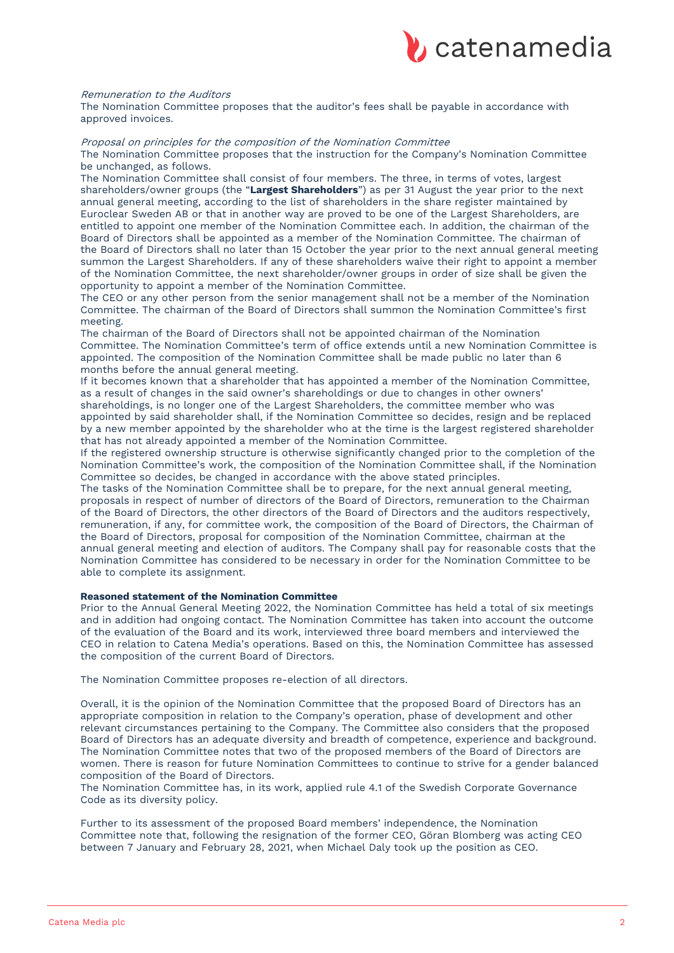

#### Remuneration to the Auditors

The Nomination Committee proposes that the auditor's fees shall be payable in accordance with approved invoices.

# Proposal on principles for the composition of the Nomination Committee

The Nomination Committee proposes that the instruction for the Company's Nomination Committee be unchanged, as follows.

The Nomination Committee shall consist of four members. The three, in terms of votes, largest shareholders/owner groups (the "**Largest Shareholders**") as per 31 August the year prior to the next annual general meeting, according to the list of shareholders in the share register maintained by Euroclear Sweden AB or that in another way are proved to be one of the Largest Shareholders, are entitled to appoint one member of the Nomination Committee each. In addition, the chairman of the Board of Directors shall be appointed as a member of the Nomination Committee. The chairman of the Board of Directors shall no later than 15 October the year prior to the next annual general meeting summon the Largest Shareholders. If any of these shareholders waive their right to appoint a member of the Nomination Committee, the next shareholder/owner groups in order of size shall be given the opportunity to appoint a member of the Nomination Committee.

The CEO or any other person from the senior management shall not be a member of the Nomination Committee. The chairman of the Board of Directors shall summon the Nomination Committee's first meeting.

The chairman of the Board of Directors shall not be appointed chairman of the Nomination Committee. The Nomination Committee's term of office extends until a new Nomination Committee is appointed. The composition of the Nomination Committee shall be made public no later than 6 months before the annual general meeting.

If it becomes known that a shareholder that has appointed a member of the Nomination Committee, as a result of changes in the said owner's shareholdings or due to changes in other owners' shareholdings, is no longer one of the Largest Shareholders, the committee member who was appointed by said shareholder shall, if the Nomination Committee so decides, resign and be replaced by a new member appointed by the shareholder who at the time is the largest registered shareholder that has not already appointed a member of the Nomination Committee.

If the registered ownership structure is otherwise significantly changed prior to the completion of the Nomination Committee's work, the composition of the Nomination Committee shall, if the Nomination Committee so decides, be changed in accordance with the above stated principles.

The tasks of the Nomination Committee shall be to prepare, for the next annual general meeting, proposals in respect of number of directors of the Board of Directors, remuneration to the Chairman of the Board of Directors, the other directors of the Board of Directors and the auditors respectively, remuneration, if any, for committee work, the composition of the Board of Directors, the Chairman of the Board of Directors, proposal for composition of the Nomination Committee, chairman at the annual general meeting and election of auditors. The Company shall pay for reasonable costs that the Nomination Committee has considered to be necessary in order for the Nomination Committee to be able to complete its assignment.

#### **Reasoned statement of the Nomination Committee**

Prior to the Annual General Meeting 2022, the Nomination Committee has held a total of six meetings and in addition had ongoing contact. The Nomination Committee has taken into account the outcome of the evaluation of the Board and its work, interviewed three board members and interviewed the CEO in relation to Catena Media's operations. Based on this, the Nomination Committee has assessed the composition of the current Board of Directors.

The Nomination Committee proposes re-election of all directors.

Overall, it is the opinion of the Nomination Committee that the proposed Board of Directors has an appropriate composition in relation to the Company's operation, phase of development and other relevant circumstances pertaining to the Company. The Committee also considers that the proposed Board of Directors has an adequate diversity and breadth of competence, experience and background. The Nomination Committee notes that two of the proposed members of the Board of Directors are women. There is reason for future Nomination Committees to continue to strive for a gender balanced composition of the Board of Directors.

The Nomination Committee has, in its work, applied rule 4.1 of the Swedish Corporate Governance Code as its diversity policy.

Further to its assessment of the proposed Board members' independence, the Nomination Committee note that, following the resignation of the former CEO, Göran Blomberg was acting CEO between 7 January and February 28, 2021, when Michael Daly took up the position as CEO.